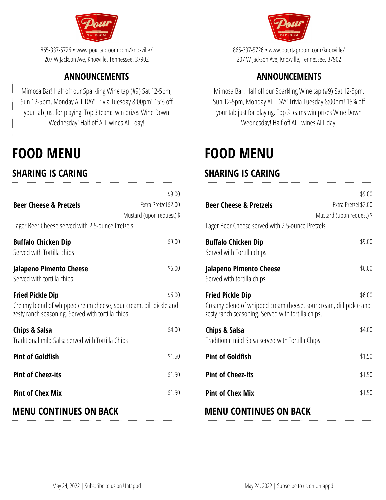

865-337-5726• www.pourtaproom.com/knoxville/ 207 W Jackson Ave, Knoxville, Tennessee, 37902

### **ANNOUNCEMENTS**

Mimosa Bar! Half off our Sparkling Wine tap (#9) Sat 12-5pm, Sun 12-5pm, Monday ALL DAY! Trivia Tuesday 8:00pm! 15% off your tab just for playing. Top 3 teams win prizes Wine Down Wednesday! Half off ALL wines ALL day!

# **FOOD MENU**

# **SHARING IS CARING**

| <b>MENU CONTINUES ON BACK</b>                                                                                                                      |                                                             |
|----------------------------------------------------------------------------------------------------------------------------------------------------|-------------------------------------------------------------|
| <b>Pint of Chex Mix</b>                                                                                                                            | \$1.50                                                      |
| <b>Pint of Cheez-its</b>                                                                                                                           | \$1.50                                                      |
| <b>Pint of Goldfish</b>                                                                                                                            | \$1.50                                                      |
| Chips & Salsa<br>Traditional mild Salsa served with Tortilla Chips                                                                                 | \$4.00                                                      |
| <b>Fried Pickle Dip</b><br>Creamy blend of whipped cream cheese, sour cream, dill pickle and<br>zesty ranch seasoning. Served with tortilla chips. | \$6.00                                                      |
| Jalapeno Pimento Cheese<br>Served with tortilla chips                                                                                              | \$6.00                                                      |
| <b>Buffalo Chicken Dip</b><br>Served with Tortilla chips                                                                                           | \$9.00                                                      |
| Lager Beer Cheese served with 25-ounce Pretzels                                                                                                    |                                                             |
| <b>Beer Cheese &amp; Pretzels</b>                                                                                                                  | \$9.00<br>Extra Pretzel \$2.00<br>Mustard (upon request) \$ |
|                                                                                                                                                    |                                                             |



865-337-5726• www.pourtaproom.com/knoxville/ 207 W Jackson Ave, Knoxville, Tennessee, 37902

### **ANNOUNCEMENTS**

Mimosa Bar! Half off our Sparkling Wine tap (#9) Sat 12-5pm, Sun 12-5pm, Monday ALL DAY! Trivia Tuesday 8:00pm! 15% off your tab just for playing. Top 3 teams win prizes Wine Down Wednesday! Half off ALL wines ALL day!

# **FOOD MENU**

## **SHARING IS CARING**

|                                                                                                                                             | \$9.00                    |
|---------------------------------------------------------------------------------------------------------------------------------------------|---------------------------|
| <b>Beer Cheese &amp; Pretzels</b>                                                                                                           | Extra Pretzel \$2.00      |
|                                                                                                                                             | Mustard (upon request) \$ |
| Lager Beer Cheese served with 2 5-ounce Pretzels                                                                                            |                           |
| Buffalo Chicken Dip<br>Served with Tortilla chips                                                                                           | \$9.00                    |
| Jalapeno Pimento Cheese<br>Served with tortilla chips                                                                                       | \$6.00                    |
| Fried Pickle Dip<br>Creamy blend of whipped cream cheese, sour cream, dill pickle and<br>zesty ranch seasoning. Served with tortilla chips. | \$6.00                    |
| Chips & Salsa<br>Traditional mild Salsa served with Tortilla Chips                                                                          | \$4.00                    |
| <b>Pint of Goldfish</b>                                                                                                                     | \$1.50                    |
| <b>Pint of Cheez-its</b>                                                                                                                    | \$1.50                    |
| <b>Pint of Chex Mix</b>                                                                                                                     | \$1.50                    |
|                                                                                                                                             |                           |

### **MENU CONTINUES ON BACK**